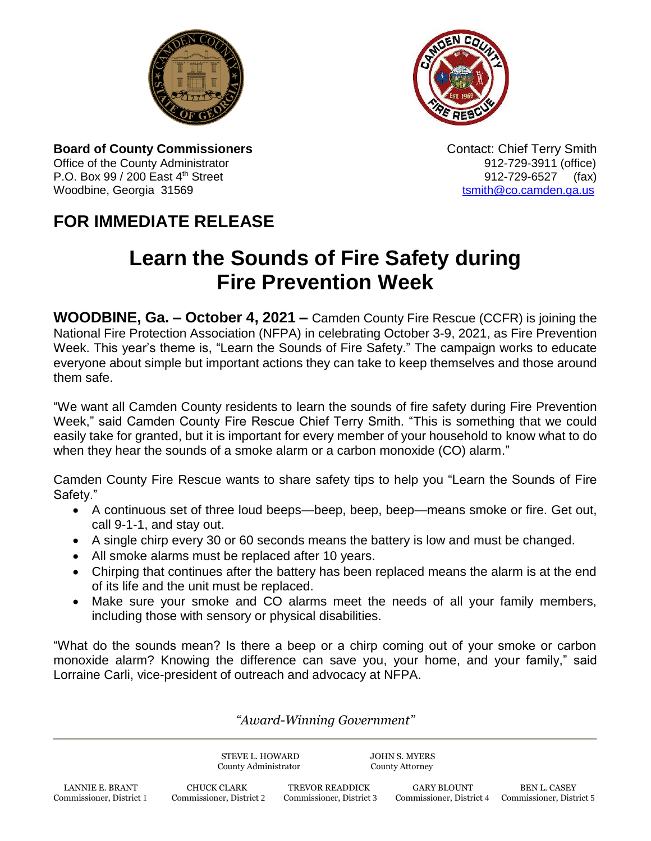



**Board of County Commissioners Contact: Chief Terry Smith Contact: Chief Terry Smith** Office of the County Administrator **912-729-3911** (office) P.O. Box 99 / 200 East 4<sup>th</sup> Street 912-729-6527 (fax) Woodbine, Georgia 31569 to the control of the control of the control of the control of the control of the control of the control of the control of the control of the control of the control of the control of the control of

## **FOR IMMEDIATE RELEASE**

## **Learn the Sounds of Fire Safety during Fire Prevention Week**

**WOODBINE, Ga. – October 4, 2021 –** Camden County Fire Rescue (CCFR) is joining the National Fire Protection Association (NFPA) in celebrating October 3-9, 2021, as Fire Prevention Week. This year's theme is, "Learn the Sounds of Fire Safety." The campaign works to educate everyone about simple but important actions they can take to keep themselves and those around them safe.

"We want all Camden County residents to learn the sounds of fire safety during Fire Prevention Week," said Camden County Fire Rescue Chief Terry Smith. "This is something that we could easily take for granted, but it is important for every member of your household to know what to do when they hear the sounds of a smoke alarm or a carbon monoxide (CO) alarm."

Camden County Fire Rescue wants to share safety tips to help you "Learn the Sounds of Fire Safety."

- A continuous set of three loud beeps—beep, beep, beep—means smoke or fire. Get out, call 9-1-1, and stay out.
- A single chirp every 30 or 60 seconds means the battery is low and must be changed.
- All smoke alarms must be replaced after 10 years.
- Chirping that continues after the battery has been replaced means the alarm is at the end of its life and the unit must be replaced.
- Make sure your smoke and CO alarms meet the needs of all your family members, including those with sensory or physical disabilities.

"What do the sounds mean? Is there a beep or a chirp coming out of your smoke or carbon monoxide alarm? Knowing the difference can save you, your home, and your family," said Lorraine Carli, vice-president of outreach and advocacy at NFPA.

*"Award-Winning Government"*

STEVE L. HOWARD JOHN S. MYERS County Administrator County Attorney LANNIE E. BRANT CHUCK CLARK TREVOR READDICK GARY BLOUNT BEN L. CASEY Commissioner, District 1 Commissioner, District 2 Commissioner, District 3 Commissioner, District 4 Commissioner, Distr Commissioner, District 4 Commissioner, District 5